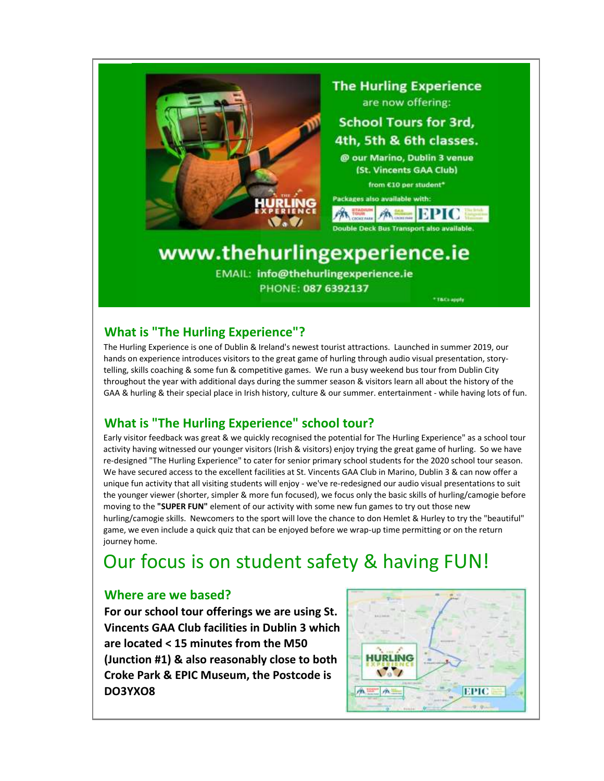

## www.thehurlingexperience.ie

EMAIL: info@thehurlingexperience.ie PHONE: 087 6392137

\* T&Cs apply

### **What is "The Hurling Experience"?**

The Hurling Experience is one of Dublin & Ireland's newest tourist attractions. Launched in summer 2019, our hands on experience introduces visitors to the great game of hurling through audio visual presentation, storytelling, skills coaching & some fun & competitive games. We run a busy weekend bus tour from Dublin City throughout the year with additional days during the summer season & visitors learn all about the history of the GAA & hurling & their special place in Irish history, culture & our summer. entertainment - while having lots of fun.

### **What is "The Hurling Experience" school tour?**

Early visitor feedback was great & we quickly recognised the potential for The Hurling Experience" as a school tour activity having witnessed our younger visitors (Irish & visitors) enjoy trying the great game of hurling. So we have re-designed "The Hurling Experience" to cater for senior primary school students for the 2020 school tour season. We have secured access to the excellent facilities at St. Vincents GAA Club in Marino, Dublin 3 & can now offer a unique fun activity that all visiting students will enjoy - we've re-redesigned our audio visual presentations to suit the younger viewer (shorter, simpler & more fun focused), we focus only the basic skills of hurling/camogie before moving to the **"SUPER FUN"** element of our activity with some new fun games to try out those new hurling/camogie skills. Newcomers to the sport will love the chance to don Hemlet & Hurley to try the "beautiful" game, we even include a quick quiz that can be enjoyed before we wrap-up time permitting or on the return journey home.

# Our focus is on student safety & having FUN!

### **Where are we based?**

**For our school tour offerings we are using St. Vincents GAA Club facilities in Dublin 3 which are located < 15 minutes from the M50 (Junction #1) & also reasonably close to both Croke Park & EPIC Museum, the Postcode is DO3YXO8**

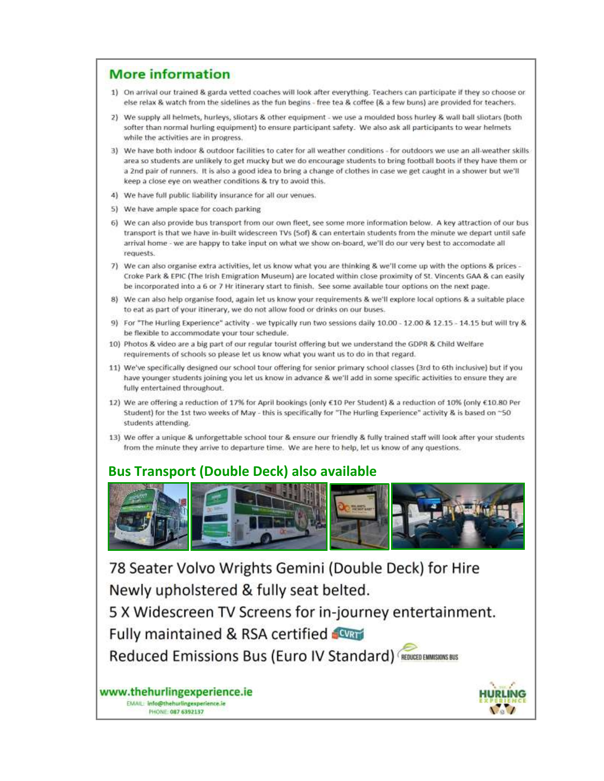### **More information**

- 1) On arrival our trained & garda vetted coaches will look after everything. Teachers can participate if they so choose or else relax & watch from the sidelines as the fun begins - free tea & coffee (& a few buns) are provided for teachers.
- 2) We supply all helmets, hurleys, sliotars & other equipment we use a moulded boss hurley & wall ball sliotars (both softer than normal hurling equipment) to ensure participant safety. We also ask all participants to wear helmets while the activities are in progress.
- 3) We have both indoor & outdoor facilities to cater for all weather conditions for outdoors we use an all-weather skills. area so students are unlikely to get mucky but we do encourage students to bring football boots if they have them or a 2nd pair of runners. It is also a good idea to bring a change of clothes in case we get caught in a shower but we'll keep a close eye on weather conditions & try to avoid this.
- 4) We have full public liability insurance for all our venues.
- 5) We have ample space for coach parking
- 6) We can also provide bus transport from our own fleet, see some more information below. A key attraction of our bus transport is that we have in-built widescreen TVs (5of) & can entertain students from the minute we depart until safe arrival home - we are happy to take input on what we show on-board, we'll do our very best to accomodate all requests.
- 7) We can also organise extra activities, let us know what you are thinking & we'll come up with the options & prices -Croke Park & EPIC (The Irish Emigration Museum) are located within close proximity of St. Vincents GAA & can easily be incorporated into a 6 or 7 Hr itinerary start to finish. See some available tour options on the next page.
- 8) We can also help organise food, again let us know your requirements & we'll explore local options & a suitable place to eat as part of your itinerary, we do not allow food or drinks on our buses.
- 9) For "The Hurling Experience" activity we typically run two sessions daily 10.00 12.00 & 12.15 14.15 but will try & be flexible to accommodate your tour schedule.
- 10) Photos & video are a big part of our regular tourist offering but we understand the GDPR & Child Welfare requirements of schools so please let us know what you want us to do in that regard.
- 11) We've specifically designed our school tour offering for senior primary school classes (3rd to 6th inclusive) but if you have younger students joining you let us know in advance & we'll add in some specific activities to ensure they are fully entertained throughout.
- 12) We are offering a reduction of 17% for April bookings (only €10 Per Student) & a reduction of 10% (only €10.80 Per Student) for the 1st two weeks of May - this is specifically for "The Hurling Experience" activity & is based on ~50 students attending.
- 13) We offer a unique & unforgettable school tour & ensure our friendly & fully trained staff will look after your students from the minute they arrive to departure time. We are here to help, let us know of any questions.

## **Bus Transport (Double Deck) also available**



78 Seater Volvo Wrights Gemini (Double Deck) for Hire Newly upholstered & fully seat belted.

5 X Widescreen TV Screens for in-journey entertainment.

Fully maintained & RSA certified

Reduced Emissions Bus (Euro IV Standard) TREDUCED EMMISIONS BUS

www.thehurlingexperience.ie EMAIL: Info@thehurlingexperience.ie PHONE: 087 6392137